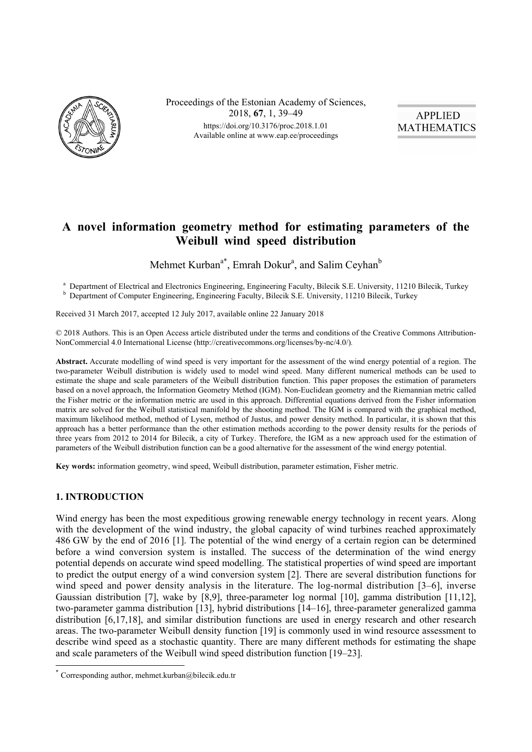

Proceedings of the Estonian Academy of Sciences, 2018, **67**, 1, 39–49 https://doi.org/10.3176/proc.2018.1.01 Available online at www.eap.ee/proceedings



# **A novel information geometry method for estimating parameters of the Weibull wind speed distribution**

Mehmet Kurban<sup>a\*</sup>, Emrah Dokur<sup>a</sup>, and Salim Ceyhan<sup>b</sup>

<sup>a</sup> Department of Electrical and Electronics Engineering, Engineering Faculty, Bilecik S.E. University, 11210 Bilecik, Turkey <sup>b</sup> Department of Computer Engineering, Engineering Faculty, Bilecik S.E. University, 11210 Bilecik, Turkey

Received 31 March 2017, accepted 12 July 2017, available online 22 January 2018

© 2018 Authors. This is an Open Access article distributed under the terms and conditions of the Creative Commons Attribution-NonCommercial 4.0 International License (http://creativecommons.org/licenses/by-nc/4.0/)*.*

**Abstract.** Accurate modelling of wind speed is very important for the assessment of the wind energy potential of a region. The two-parameter Weibull distribution is widely used to model wind speed. Many different numerical methods can be used to estimate the shape and scale parameters of the Weibull distribution function. This paper proposes the estimation of parameters based on a novel approach, the Information Geometry Method (IGM). Non-Euclidean geometry and the Riemannian metric called the Fisher metric or the information metric are used in this approach. Differential equations derived from the Fisher information matrix are solved for the Weibull statistical manifold by the shooting method. The IGM is compared with the graphical method, maximum likelihood method, method of Lysen, method of Justus, and power density method. In particular, it is shown that this approach has a better performance than the other estimation methods according to the power density results for the periods of three years from 2012 to 2014 for Bilecik, a city of Turkey. Therefore, the IGM as a new approach used for the estimation of parameters of the Weibull distribution function can be a good alternative for the assessment of the wind energy potential.

**Key words:** information geometry, wind speed, Weibull distribution, parameter estimation, Fisher metric.

# **1. INTRODUCTION**

 $\overline{a}$ 

Wind energy has been the most expeditious growing renewable energy technology in recent years. Along with the development of the wind industry, the global capacity of wind turbines reached approximately 486 GW by the end of 2016 [1]. The potential of the wind energy of a certain region can be determined before a wind conversion system is installed. The success of the determination of the wind energy potential depends on accurate wind speed modelling. The statistical properties of wind speed are important to predict the output energy of a wind conversion system [2]. There are several distribution functions for wind speed and power density analysis in the literature. The log-normal distribution [3–6], inverse Gaussian distribution [7], wake by [8,9], three-parameter log normal [10], gamma distribution [11,12], two-parameter gamma distribution [13], hybrid distributions [14–16], three-parameter generalized gamma distribution [6,17,18], and similar distribution functions are used in energy research and other research areas. The two-parameter Weibull density function [19] is commonly used in wind resource assessment to describe wind speed as a stochastic quantity. There are many different methods for estimating the shape and scale parameters of the Weibull wind speed distribution function [19–23].

<sup>\*</sup> Corresponding author, mehmet.kurban@bilecik.edu.tr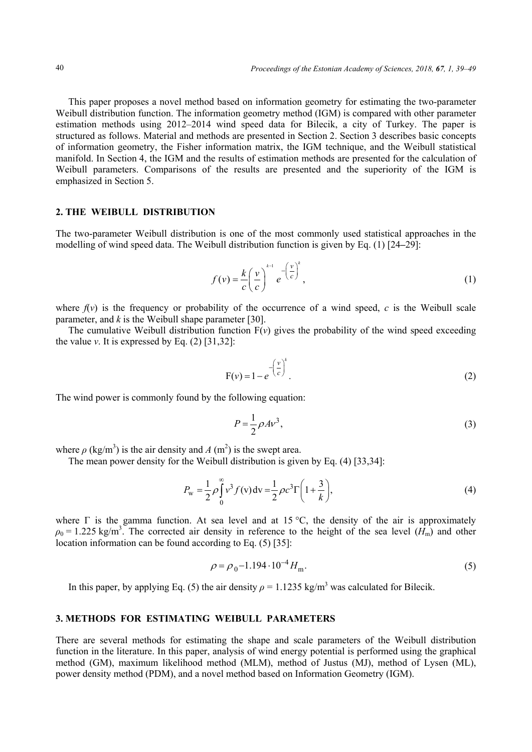This paper proposes a novel method based on information geometry for estimating the two-parameter Weibull distribution function. The information geometry method (IGM) is compared with other parameter estimation methods using 2012–2014 wind speed data for Bilecik, a city of Turkey. The paper is structured as follows. Material and methods are presented in Section 2. Section 3 describes basic concepts of information geometry, the Fisher information matrix, the IGM technique, and the Weibull statistical manifold. In Section 4, the IGM and the results of estimation methods are presented for the calculation of Weibull parameters. Comparisons of the results are presented and the superiority of the IGM is emphasized in Section 5.

## **2. THE WEIBULL DISTRIBUTION**

The two-parameter Weibull distribution is one of the most commonly used statistical approaches in the modelling of wind speed data. The Weibull distribution function is given by Eq. (1) [24**–**29]:

$$
f(v) = \frac{k}{c} \left(\frac{v}{c}\right)^{k-1} e^{-\left(\frac{v}{c}\right)^k},\tag{1}
$$

where  $f(v)$  is the frequency or probability of the occurrence of a wind speed,  $c$  is the Weibull scale parameter, and *k* is the Weibull shape parameter [30].

The cumulative Weibull distribution function  $F(v)$  gives the probability of the wind speed exceeding the value  $v$ . It is expressed by Eq.  $(2)$  [31,32]:

$$
F(v) = 1 - e^{-\left(\frac{v}{c}\right)^k}.
$$
 (2)

The wind power is commonly found by the following equation:

$$
P = \frac{1}{2}\rho A v^3,\tag{3}
$$

where  $\rho$  (kg/m<sup>3</sup>) is the air density and *A* (m<sup>2</sup>) is the swept area.

The mean power density for the Weibull distribution is given by Eq. (4) [33,34]:

$$
P_{\rm w} = \frac{1}{2} \rho \int_{0}^{\infty} v^3 f(v) dv = \frac{1}{2} \rho c^3 \Gamma \left( 1 + \frac{3}{k} \right),\tag{4}
$$

where  $\Gamma$  is the gamma function. At sea level and at 15 °C, the density of the air is approximately  $\rho_0 = 1.225 \text{ kg/m}^3$ . The corrected air density in reference to the height of the sea level  $(H_m)$  and other location information can be found according to Eq. (5) [35]:

$$
\rho = \rho_0 - 1.194 \cdot 10^{-4} H_{\rm m}.\tag{5}
$$

In this paper, by applying Eq. (5) the air density  $\rho = 1.1235 \text{ kg/m}^3$  was calculated for Bilecik.

#### **3. METHODS FOR ESTIMATING WEIBULL PARAMETERS**

There are several methods for estimating the shape and scale parameters of the Weibull distribution function in the literature. In this paper, analysis of wind energy potential is performed using the graphical method (GM), maximum likelihood method (MLM), method of Justus (MJ), method of Lysen (ML), power density method (PDM), and a novel method based on Information Geometry (IGM).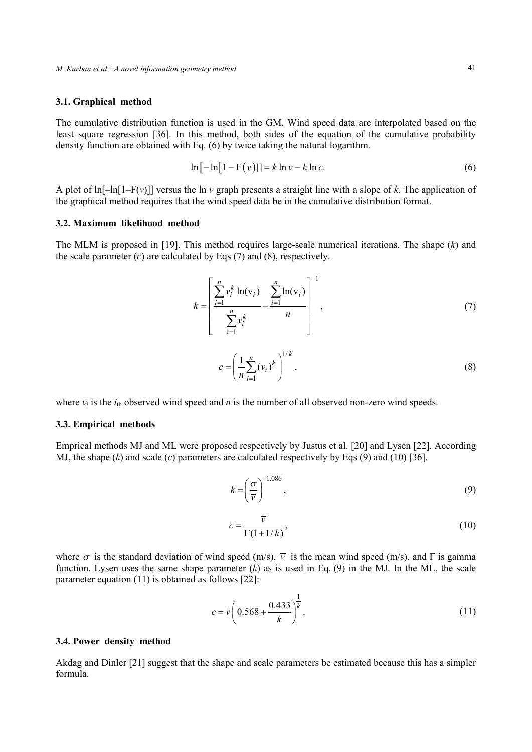## **3.1. Graphical method**

The cumulative distribution function is used in the GM. Wind speed data are interpolated based on the least square regression [36]. In this method, both sides of the equation of the cumulative probability density function are obtained with Eq. (6) by twice taking the natural logarithm.

$$
\ln[-\ln[1 - F(v)]] = k \ln v - k \ln c. \tag{6}
$$

A plot of  $\ln[-\ln[1-F(v)]$  versus the  $\ln v$  graph presents a straight line with a slope of *k*. The application of the graphical method requires that the wind speed data be in the cumulative distribution format.

## **3.2. Maximum likelihood method**

The MLM is proposed in [19]. This method requires large-scale numerical iterations. The shape (*k*) and the scale parameter  $(c)$  are calculated by Eqs  $(7)$  and  $(8)$ , respectively.

$$
k = \left[\frac{\sum_{i=1}^{n} v_i^k \ln(v_i)}{\sum_{i=1}^{n} v_i^k} - \frac{\sum_{i=1}^{n} \ln(v_i)}{n}\right]^{-1},
$$
\n
$$
c = \left(\frac{1}{n} \sum_{i=1}^{n} (v_i)^k\right)^{1/k},
$$
\n(8)

where  $v_i$  is the  $i_{th}$  observed wind speed and *n* is the number of all observed non-zero wind speeds.

## **3.3. Empirical methods**

Emprical methods MJ and ML were proposed respectively by Justus et al. [20] and Lysen [22]. According MJ, the shape  $(k)$  and scale  $(c)$  parameters are calculated respectively by Eqs  $(9)$  and  $(10)$  [36].

$$
k = \left(\frac{\sigma}{\overline{v}}\right)^{-1.086},\tag{9}
$$

$$
c = \frac{\overline{v}}{\Gamma(1+1/k)},\tag{10}
$$

where  $\sigma$  is the standard deviation of wind speed (m/s),  $\overline{v}$  is the mean wind speed (m/s), and  $\Gamma$  is gamma function. Lysen uses the same shape parameter (*k*) as is used in Eq. (9) in the MJ. In the ML, the scale parameter equation (11) is obtained as follows [22]:

$$
c = \overline{v} \left( 0.568 + \frac{0.433}{k} \right)^{\frac{1}{k}}.
$$
 (11)

### **3.4. Power density method**

Akdag and Dinler [21] suggest that the shape and scale parameters be estimated because this has a simpler formula.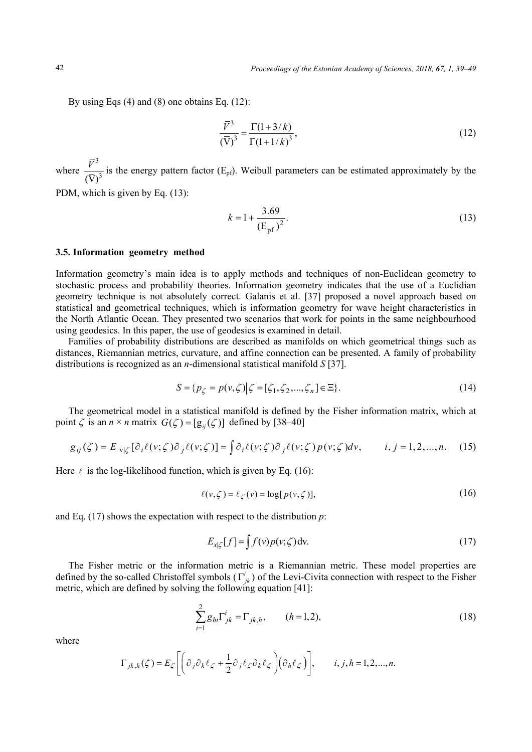By using Eqs (4) and (8) one obtains Eq. (12):

$$
\frac{\overline{V}^3}{(\overline{V})^3} = \frac{\Gamma(1+3/k)}{\Gamma(1+1/k)^3},
$$
\n(12)

where 3  $\overline{(\nabla)}^3$  $\frac{V^3}{\sqrt{2}}$  is the energy pattern factor (E<sub>pf</sub>). Weibull parameters can be estimated approximately by the

PDM, which is given by Eq. (13):

$$
k = 1 + \frac{3.69}{\left(\text{E}_{\text{pf}}\right)^2}.
$$
 (13)

#### **3.5. Information geometry method**

Information geometry's main idea is to apply methods and techniques of non-Euclidean geometry to stochastic process and probability theories. Information geometry indicates that the use of a Euclidian geometry technique is not absolutely correct. Galanis et al. [37] proposed a novel approach based on statistical and geometrical techniques, which is information geometry for wave height characteristics in the North Atlantic Ocean. They presented two scenarios that work for points in the same neighbourhood using geodesics. In this paper, the use of geodesics is examined in detail.

Families of probability distributions are described as manifolds on which geometrical things such as distances, Riemannian metrics, curvature, and affine connection can be presented. A family of probability distributions is recognized as an *n*-dimensional statistical manifold *S* [37].

$$
S = \{p_{\zeta} = p(v, \zeta) | \zeta = [\zeta_1, \zeta_2, ..., \zeta_n] \in \Xi \}.
$$
\n(14)

The geometrical model in a statistical manifold is defined by the Fisher information matrix, which at point  $\zeta$  is an  $n \times n$  matrix  $G(\zeta) = [g_{ii}(\zeta)]$  defined by [38–40]

$$
g_{ij}(\zeta) = E_{v|\zeta} [\partial_i \ell(v;\zeta) \partial_j \ell(v;\zeta)] = \int \partial_i \ell(v;\zeta) \partial_j \ell(v;\zeta) p(v;\zeta) dv, \qquad i, j = 1, 2, ..., n. \tag{15}
$$

Here  $\ell$  is the log-likelihood function, which is given by Eq. (16):

$$
\ell(v,\zeta) = \ell_{\zeta}(v) = \log[p(v,\zeta)],\tag{16}
$$

and Eq. (17) shows the expectation with respect to the distribution *p*:

$$
E_{x|\zeta}[f] = \int f(v)p(v,\zeta) dv.
$$
 (17)

The Fisher metric or the information metric is a Riemannian metric. These model properties are defined by the so-called Christoffel symbols  $(\Gamma^i_{ik})$  of the Levi-Civita connection with respect to the Fisher metric, which are defined by solving the following equation [41]:

$$
\sum_{i=1}^{2} g_{hi} \Gamma^i_{jk} = \Gamma_{jk,h}, \qquad (h=1,2), \qquad (18)
$$

where

$$
\Gamma_{jk,h}(\zeta) = E_{\zeta} \left[ \left( \partial_j \partial_k \ell_{\zeta} + \frac{1}{2} \partial_j \ell_{\zeta} \partial_k \ell_{\zeta} \right) \left( \partial_h \ell_{\zeta} \right) \right], \qquad i, j, h = 1, 2, ..., n.
$$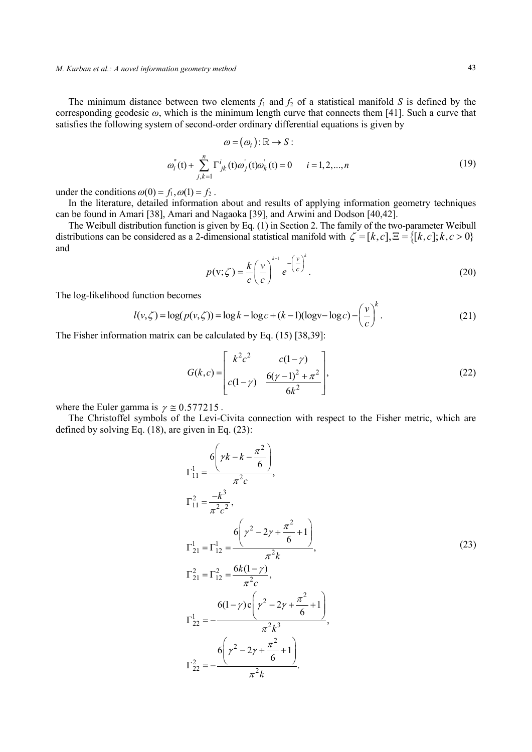#### *M. Kurban et al.: A novel information geometry method* 43

The minimum distance between two elements  $f_1$  and  $f_2$  of a statistical manifold *S* is defined by the corresponding geodesic *ω*, which is the minimum length curve that connects them [41]. Such a curve that satisfies the following system of second-order ordinary differential equations is given by

$$
\omega = (\omega_i) : \mathbb{R} \to S :
$$
  

$$
\omega_i^{\dagger}(\mathbf{t}) + \sum_{j,k=1}^n \Gamma_{jk}^i(\mathbf{t}) \omega_j^{\dagger}(\mathbf{t}) \omega_k^{\dagger}(\mathbf{t}) = 0 \qquad i = 1, 2, ..., n
$$
 (19)

under the conditions  $\omega(0) = f_1, \omega(1) = f_2$ .

In the literature, detailed information about and results of applying information geometry techniques can be found in Amari [38], Amari and Nagaoka [39], and Arwini and Dodson [40,42].

The Weibull distribution function is given by Eq. (1) in Section 2. The family of the two-parameter Weibull distributions can be considered as a 2-dimensional statistical manifold with  $\zeta = [k, c], \Xi = \{ [k, c]; k, c > 0 \}$ and  $\sum_{k=1}^{k-1}$ 

$$
p(\mathbf{v};\zeta) = \frac{k}{c} \left(\frac{\mathbf{v}}{c}\right)^{k-1} e^{-\left(\frac{\mathbf{v}}{c}\right)^k}.
$$
 (20)

The log-likelihood function becomes

$$
l(v,\zeta) = \log(p(v,\zeta)) = \log k - \log c + (k-1)(\log v - \log c) - \left(\frac{v}{c}\right)^k.
$$
 (21)

The Fisher information matrix can be calculated by Eq. (15) [38,39]:

$$
G(k,c) = \begin{bmatrix} k^2 c^2 & c(1-\gamma) \\ c(1-\gamma) & \frac{6(\gamma-1)^2 + \pi^2}{6k^2} \end{bmatrix},
$$
 (22)

where the Euler gamma is  $\gamma \approx 0.577215$ .

The Christoffel symbols of the Levi-Civita connection with respect to the Fisher metric, which are defined by solving Eq. (18), are given in Eq. (23):

$$
\Gamma_{11}^{1} = \frac{6\left(\gamma k - k - \frac{\pi^{2}}{6}\right)}{\pi^{2}c},
$$
\n
$$
\Gamma_{11}^{2} = \frac{-k^{3}}{\pi^{2}c^{2}},
$$
\n
$$
\Gamma_{21}^{1} = \Gamma_{12}^{1} = \frac{6\left(\gamma^{2} - 2\gamma + \frac{\pi^{2}}{6} + 1\right)}{\pi^{2}k},
$$
\n
$$
\Gamma_{21}^{2} = \Gamma_{12}^{2} = \frac{6k(1-\gamma)}{\pi^{2}c},
$$
\n
$$
\Gamma_{22}^{1} = -\frac{6(1-\gamma)c\left(\gamma^{2} - 2\gamma + \frac{\pi^{2}}{6} + 1\right)}{\pi^{2}k^{3}},
$$
\n
$$
\Gamma_{22}^{2} = -\frac{6\left(\gamma^{2} - 2\gamma + \frac{\pi^{2}}{6} + 1\right)}{\pi^{2}k^{3}}.
$$
\n(23)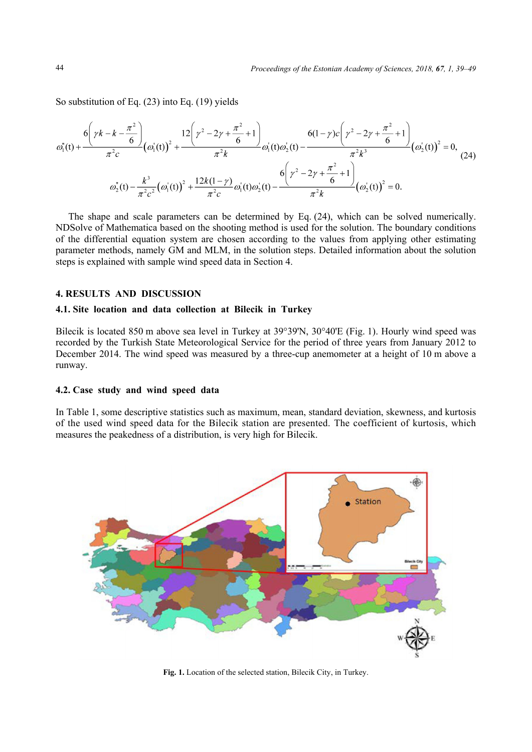So substitution of Eq. (23) into Eq. (19) yields

$$
\omega_1^{"}(t) + \frac{6\left(\gamma k - k - \frac{\pi^2}{6}\right)}{\pi^2 c} \left(\omega_1^{'}(t)\right)^2 + \frac{12\left(\gamma^2 - 2\gamma + \frac{\pi^2}{6} + 1\right)}{\pi^2 k} \omega_1^{'}(t)\omega_2^{'}(t) - \frac{6(1-\gamma)c\left(\gamma^2 - 2\gamma + \frac{\pi^2}{6} + 1\right)}{\pi^2 k^3} \left(\omega_2^{'}(t)\right)^2 = 0, \tag{24}
$$
\n
$$
\omega_2^{"}(t) - \frac{k^3}{\pi^2 c^2} \left(\omega_1^{'}(t)\right)^2 + \frac{12k(1-\gamma)}{\pi^2 c} \omega_1^{'}(t)\omega_2^{'}(t) - \frac{6\left(\gamma^2 - 2\gamma + \frac{\pi^2}{6} + 1\right)}{\pi^2 k} \left(\omega_2^{'}(t)\right)^2 = 0.
$$

The shape and scale parameters can be determined by Eq. (24), which can be solved numerically. NDSolve of Mathematica based on the shooting method is used for the solution. The boundary conditions of the differential equation system are chosen according to the values from applying other estimating parameter methods, namely GM and MLM, in the solution steps. Detailed information about the solution steps is explained with sample wind speed data in Section 4.

# **4. RESULTS AND DISCUSSION**

# **4.1. Site location and data collection at Bilecik in Turkey**

Bilecik is located 850 m above sea level in Turkey at 39°39'N, 30°40'E (Fig. 1). Hourly wind speed was recorded by the Turkish State Meteorological Service for the period of three years from January 2012 to December 2014. The wind speed was measured by a three-cup anemometer at a height of 10 m above a runway.

## **4.2. Case study and wind speed data**

In Table 1, some descriptive statistics such as maximum, mean, standard deviation, skewness, and kurtosis of the used wind speed data for the Bilecik station are presented. The coefficient of kurtosis, which measures the peakedness of a distribution, is very high for Bilecik.



**Fig. 1.** Location of the selected station, Bilecik City, in Turkey.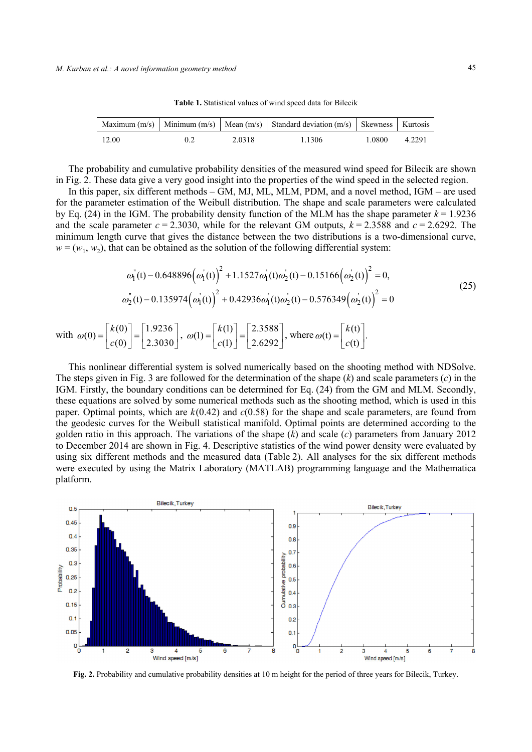|  |  | Table 1. Statistical values of wind speed data for Bilecik |
|--|--|------------------------------------------------------------|
|--|--|------------------------------------------------------------|

|       |               |        | Maximum $(m/s)$ Minimum $(m/s)$ Mean $(m/s)$ Standard deviation $(m/s)$ Skewness Kurtosis |        |        |
|-------|---------------|--------|-------------------------------------------------------------------------------------------|--------|--------|
| 12.00 | $0.2^{\circ}$ | 2.0318 | 1 1 3 0 6                                                                                 | 1 0800 | 4.2291 |

The probability and cumulative probability densities of the measured wind speed for Bilecik are shown in Fig. 2. These data give a very good insight into the properties of the wind speed in the selected region.

In this paper, six different methods – GM, MJ, ML, MLM, PDM, and a novel method, IGM – are used for the parameter estimation of the Weibull distribution. The shape and scale parameters were calculated by Eq. (24) in the IGM. The probability density function of the MLM has the shape parameter  $k = 1.9236$ and the scale parameter  $c = 2.3030$ , while for the relevant GM outputs,  $k = 2.3588$  and  $c = 2.6292$ . The minimum length curve that gives the distance between the two distributions is a two-dimensional curve,  $w = (w_1, w_2)$ , that can be obtained as the solution of the following differential system:

$$
\omega_1^{"}(t) - 0.648896(\omega_1^{'}(t))^{2} + 1.1527\omega_1^{'}(t)\omega_2^{'}(t) - 0.15166(\omega_2^{'}(t))^{2} = 0,
$$
\n
$$
\omega_2^{"}(t) - 0.135974(\omega_1^{'}(t))^{2} + 0.42936\omega_1^{'}(t)\omega_2^{'}(t) - 0.576349(\omega_2^{'}(t))^{2} = 0
$$
\n(25)

with 
$$
\omega(0) = \begin{bmatrix} k(0) \\ c(0) \end{bmatrix} = \begin{bmatrix} 1.9236 \\ 2.3030 \end{bmatrix}
$$
,  $\omega(1) = \begin{bmatrix} k(1) \\ c(1) \end{bmatrix} = \begin{bmatrix} 2.3588 \\ 2.6292 \end{bmatrix}$ , where  $\omega(t) = \begin{bmatrix} k(t) \\ c(t) \end{bmatrix}$ .

This nonlinear differential system is solved numerically based on the shooting method with NDSolve. The steps given in Fig. 3 are followed for the determination of the shape  $(k)$  and scale parameters  $(c)$  in the IGM. Firstly, the boundary conditions can be determined for Eq. (24) from the GM and MLM. Secondly, these equations are solved by some numerical methods such as the shooting method, which is used in this paper. Optimal points, which are *k*(0.42) and *c*(0.58) for the shape and scale parameters, are found from the geodesic curves for the Weibull statistical manifold. Optimal points are determined according to the golden ratio in this approach. The variations of the shape (*k*) and scale (*c*) parameters from January 2012 to December 2014 are shown in Fig. 4. Descriptive statistics of the wind power density were evaluated by using six different methods and the measured data (Table 2). All analyses for the six different methods were executed by using the Matrix Laboratory (MATLAB) programming language and the Mathematica platform.



**Fig. 2.** Probability and cumulative probability densities at 10 m height for the period of three years for Bilecik, Turkey.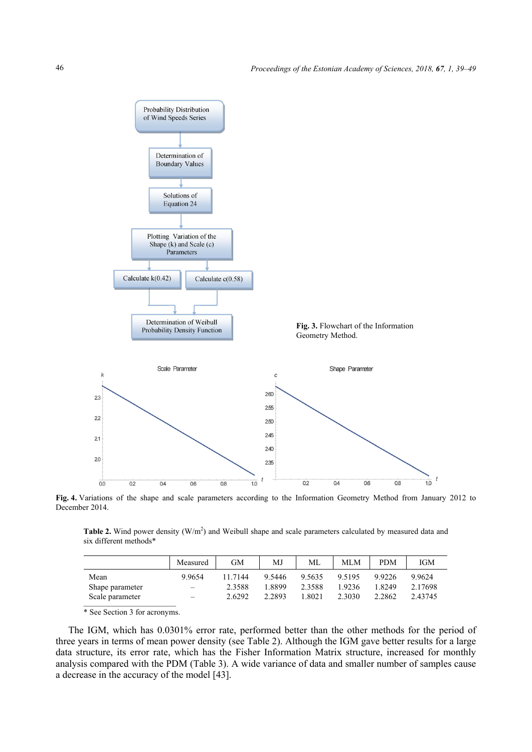

**Fig. 4.** Variations of the shape and scale parameters according to the Information Geometry Method from January 2012 to December 2014.

**Table 2.** Wind power density  $(W/m^2)$  and Weibull shape and scale parameters calculated by measured data and six different methods\*

|                 | Measured                 | GМ      | MJ     | ML     | MLM       | <b>PDM</b> | <b>IGM</b> |
|-----------------|--------------------------|---------|--------|--------|-----------|------------|------------|
| Mean            | 9.9654                   | 11 7144 | 9.5446 | 9.5635 | 9 5 1 9 5 | 99226      | 99624      |
| Shape parameter | -                        | 2.3588  | 1 8899 | 2.3588 | 19236     | 1 8249     | 2.17698    |
| Scale parameter | $\overline{\phantom{0}}$ | 2.6292  | 2.2893 | .8021  | 2.3030    | 2.2862     | 2.43745    |

\* See Section 3 for acronyms.

The IGM, which has 0.0301% error rate, performed better than the other methods for the period of three years in terms of mean power density (see Table 2). Although the IGM gave better results for a large data structure, its error rate, which has the Fisher Information Matrix structure, increased for monthly analysis compared with the PDM (Table 3). A wide variance of data and smaller number of samples cause a decrease in the accuracy of the model [43].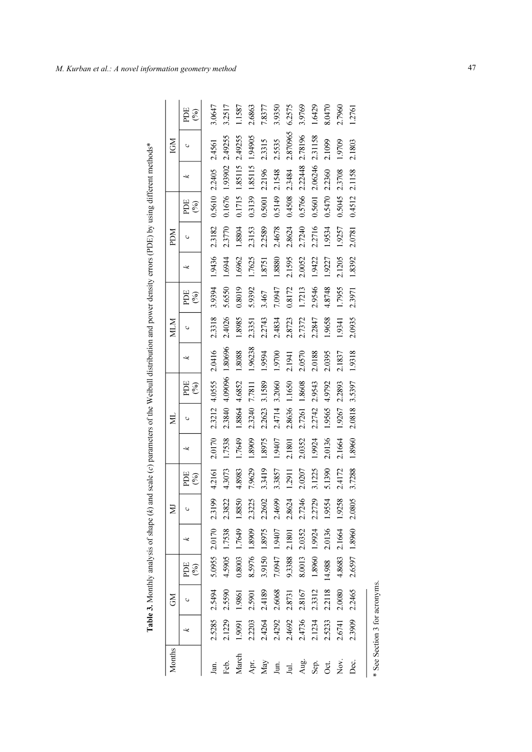| $\ddot{\cdot}$                 |
|--------------------------------|
|                                |
| J                              |
|                                |
|                                |
|                                |
|                                |
|                                |
| ׇׇ֠֕֡<br>i<br>I                |
| I                              |
| l                              |
|                                |
|                                |
|                                |
|                                |
|                                |
| .<br>.<br>.<br>$\frac{1}{2}$   |
|                                |
|                                |
|                                |
|                                |
|                                |
|                                |
|                                |
|                                |
|                                |
|                                |
|                                |
|                                |
|                                |
|                                |
|                                |
|                                |
|                                |
| .<br>.<br>.<br>.               |
| <br> <br>                      |
|                                |
|                                |
|                                |
|                                |
|                                |
|                                |
| j                              |
|                                |
|                                |
|                                |
|                                |
|                                |
|                                |
|                                |
|                                |
|                                |
| :                              |
|                                |
|                                |
|                                |
|                                |
|                                |
| homa / k \ om<br>,             |
|                                |
| ֦֓֓֓֓֓֓֓֓֓֓֓֡֓֓֡֓֡֓֡֓֓֓֡֓֡֓֓֡֓ |
| í<br>i<br>j                    |
|                                |
| l                              |
|                                |
|                                |
|                                |
| $\overline{a}$                 |
|                                |
|                                |
|                                |
|                                |
|                                |
|                                |
|                                |
|                                |
|                                |
|                                |
|                                |
|                                |
|                                |

| Months          |        | š      |               |               | Ξ                |                                |        | Ĕ      |                        |         | MIN    |               |        | NOG    |                              |         | IGM      |               |
|-----------------|--------|--------|---------------|---------------|------------------|--------------------------------|--------|--------|------------------------|---------|--------|---------------|--------|--------|------------------------------|---------|----------|---------------|
|                 |        |        | PDE<br>$(\%)$ |               |                  | PDE<br>$\mathcal{\mathcal{E}}$ | ≈      |        | ECG<br>$\mathcal{S}_0$ | ىي      |        | ECG<br>$(\%)$ |        |        | ECG<br>$\mathcal{C}_\bullet$ | ىيە     |          | ECG<br>$(\%)$ |
| Jan.            | 2.5285 | 2.5494 |               | 5.0955 2.0170 | 2.3199           | 4.2161                         | 2.0170 | 2.3212 | 4.0555                 | 2.0416  | 2.3318 | 3.9394        | 1.9436 | 2.3182 | 0.5610                       | 2.2405  | 2.4561   | 3.0647        |
| Feb.            | 2.1229 | 2.5590 | 4.5905        | 1.7538        | $\sim$<br>2.3822 | 4.3073                         | 1.7538 | 2.3840 | 4.09096                | 1.80696 | 2.4026 | 5.6550        | 1.6944 | 2.3770 | 0.1676                       | 1.93902 | 2.49255  | 3.2517        |
| March           | 1.9091 | 1.9861 | 0.8003        | 1.7649        | 1.8850           | 4.8983                         | 1.7649 | 1.8864 | 4.6852                 | 1.8088  | 1.8985 | 0.8019        | 1.6962 | 1.8804 | 0.1715                       | 1.85115 | 2.49255  | 1.1587        |
| Apr.            | 2.2203 | 2.5901 |               | 8.5976 1.8909 | 2.3225           | 7.9629                         | 1.8909 | 2.3240 | 7.7811                 | 1.96238 | 2.3351 | 5.9392        | 1.7625 | 2.3153 | 0.3139                       | 1.85115 | 1.94905  | 2.6863        |
| Nay             | 2.4264 | 2.4189 | 3.9150        | 1.8975        | 2.2602           | 3.3419                         | 1.8975 | 2.2623 | 3.1589                 | 1.9594  | 2.2743 | 3.467         | 1.8751 | 2.2589 | 0.5001                       | 2.2196  | 2.3315   | 7.8377        |
| Jun.            | 2.4292 | 2.6068 | 7.0947        | 1.9407        | 2.4699           | 3.3857                         | 1.9407 | 2.4714 | 3.2060                 | 1.9700  | 2.4834 | 7.0947        | 1.8880 | 2.4678 | 0.5149                       | 2.1548  | 2.5535   | 3.9350        |
| E.              | 2.4692 | 2.8731 | 9.3388        | 2.1801        | 2.8624           | 1.2911                         | 2.1801 | 2.8636 | 1.1650                 | 2.1941  | 2.8723 | 0.8172        | 2.1595 | 2.8624 | 0.4508                       | 2.3484  | 2.870965 | 6.2575        |
| Aug.            | 2.4736 | 2.8167 | 8.0013        | 2.0352        | 2.7246           | 2.0207                         | 2.0352 | 2.7261 | 1.8608                 | 2.0570  | 2.7372 | 1.7213        | 2.0052 | 2.7240 | 0.5766                       | 2.22448 | 2.78196  | 3.9769        |
| Sep.            | 2.1234 | 2.3312 | 1.8960        | 1.9924        | o<br>2.2729      | 3.1225                         | 1.9924 | 2.2742 | 2.9543                 | 2.0188  | 2.2847 | 2.9546        | 1.9422 | 2.2716 | 0.5601                       | 2.06246 | 2.31158  | 1.6429        |
| St.             | 2.5233 | 2.2118 | 14.988        | 2.0136        | 1.9554           | 5.1390                         | 2.0136 | 1.9565 | 4.9792                 | 2.0395  | 1.9658 | 4.8748        | 1.9227 | 1.9534 | 0.5470                       | 2.2360  | 2.1099   | 8.0470        |
| Nο <sub>v</sub> | 2.6741 | 2.0080 | 4.8683        | 2.1664        | 1.9258           | 2.4172                         | 2.1664 | 1.9267 | 2.2893                 | 2.1837  | 1.9341 | 1.7955        | 2.1205 | 1.9257 | 0.5045                       | 2.3708  | 1.9709   | 2.7960        |
| Dec.            | 2.3909 | 2.2465 |               | 2.6597 1.8960 | 2.0805           | 3.7288                         | 1.8960 | 2.0818 | 3.5397                 | 1.9318  | 2.0935 | 2.3971        | 1.8392 | 2.0781 | 0.4512                       | 2.1158  | 2.1803   | 1.2761        |
|                 |        |        |               |               |                  |                                |        |        |                        |         |        |               |        |        |                              |         |          |               |
|                 |        |        |               |               |                  |                                |        |        |                        |         |        |               |        |        |                              |         |          |               |

<sup>\*</sup> See Section 3 for acronyms.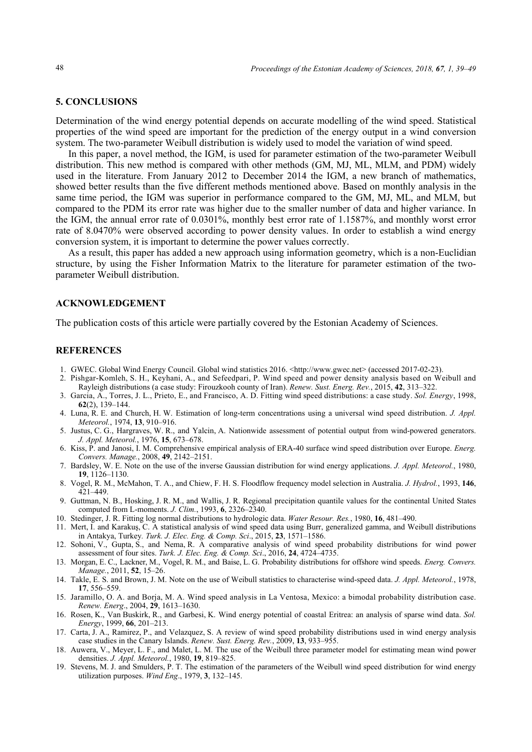#### **5. CONCLUSIONS**

Determination of the wind energy potential depends on accurate modelling of the wind speed. Statistical properties of the wind speed are important for the prediction of the energy output in a wind conversion system. The two-parameter Weibull distribution is widely used to model the variation of wind speed.

In this paper, a novel method, the IGM, is used for parameter estimation of the two-parameter Weibull distribution. This new method is compared with other methods (GM, MJ, ML, MLM, and PDM) widely used in the literature. From January 2012 to December 2014 the IGM, a new branch of mathematics, showed better results than the five different methods mentioned above. Based on monthly analysis in the same time period, the IGM was superior in performance compared to the GM, MJ, ML, and MLM, but compared to the PDM its error rate was higher due to the smaller number of data and higher variance. In the IGM, the annual error rate of 0.0301%, monthly best error rate of 1.1587%, and monthly worst error rate of 8.0470% were observed according to power density values. In order to establish a wind energy conversion system, it is important to determine the power values correctly.

As a result, this paper has added a new approach using information geometry, which is a non-Euclidian structure, by using the Fisher Information Matrix to the literature for parameter estimation of the twoparameter Weibull distribution.

#### **ACKNOWLEDGEMENT**

The publication costs of this article were partially covered by the Estonian Academy of Sciences.

#### **REFERENCES**

- 1. GWEC. Global Wind Energy Council. Global wind statistics 2016. <http://www.gwec.net> (accessed 2017-02-23).
- 2. Pishgar-Komleh, S. H., Keyhani, A., and Sefeedpari, P. Wind speed and power density analysis based on Weibull and Rayleigh distributions (a case study: Firouzkooh county of Iran). *Renew. Sust. Energ. Rev.*, 2015, **42**, 313–322.
- 3. Garcia, A., Torres, J. L., Prieto, E., and Francisco, A. D. Fitting wind speed distributions: a case study. *Sol. Energy*, 1998, **62**(2), 139–144.
- 4. Luna, R. E. and Church, H. W. Estimation of long-term concentrations using a universal wind speed distribution. *J. Appl. Meteorol.*, 1974, **13**, 910–916.
- 5. Justus, C. G., Hargraves, W. R., and Yalcin, A. Nationwide assessment of potential output from wind-powered generators. *J. Appl. Meteorol.*, 1976, **15**, 673–678.
- 6. Kiss, P. and Janosi, I. M. Comprehensive empirical analysis of ERA-40 surface wind speed distribution over Europe. *Energ. Convers. Manage.*, 2008, **49**, 2142–2151.
- 7. Bardsley, W. E. Note on the use of the inverse Gaussian distribution for wind energy applications. *J. Appl. Meteorol.*, 1980, **19**, 1126–1130.
- 8. Vogel, R. M., McMahon, T. A., and Chiew, F. H. S. Floodflow frequency model selection in Australia. *J. Hydrol.*, 1993, **146**, 421–449.
- 9. Guttman, N. B., Hosking, J. R. M., and Wallis, J. R. Regional precipitation quantile values for the continental United States computed from L-moments. *J. Clim.*, 1993, **6**, 2326–2340.
- 10. Stedinger, J. R. Fitting log normal distributions to hydrologic data. *Water Resour. Res.*, 1980, **16**, 481–490.
- 11. Mert, I. and Karakuş, C. A statistical analysis of wind speed data using Burr, generalized gamma, and Weibull distributions in Antakya, Turkey*. Turk. J. Elec. Eng. & Comp. Sci*., 2015, **23**, 1571–1586.
- 12. Sohoni, V., Gupta, S., and Nema, R. A comparative analysis of wind speed probability distributions for wind power assessment of four sites. *Turk. J. Elec. Eng. & Comp. Sci*., 2016, **24**, 4724–4735.
- 13. Morgan, E. C., Lackner, M., Vogel, R. M., and Baise, L. G. Probability distributions for offshore wind speeds. *Energ. Convers. Manage.*, 2011, **52**, 15–26.
- 14. Takle, E. S. and Brown, J. M. Note on the use of Weibull statistics to characterise wind-speed data. *J. Appl. Meteorol.*, 1978, **17**, 556–559.
- 15. Jaramillo, O. A. and Borja, M. A. Wind speed analysis in La Ventosa, Mexico: a bimodal probability distribution case. *Renew. Energ*., 2004, **29**, 1613–1630.
- 16. Rosen, K., Van Buskirk, R., and Garbesi, K. Wind energy potential of coastal Eritrea: an analysis of sparse wind data. *Sol. Energy*, 1999, **66**, 201–213.
- 17. Carta, J. A., Ramirez, P., and Velazquez, S. A review of wind speed probability distributions used in wind energy analysis case studies in the Canary Islands. *Renew. Sust. Energ. Rev.*, 2009, **13**, 933–955.
- 18. Auwera, V., Meyer, L. F., and Malet, L. M. The use of the Weibull three parameter model for estimating mean wind power densities. *J. Appl. Meteorol.*, 1980, **19**, 819–825.
- 19. Stevens, M. J. and Smulders, P. T. The estimation of the parameters of the Weibull wind speed distribution for wind energy utilization purposes. *Wind Eng*., 1979, **3**, 132–145.